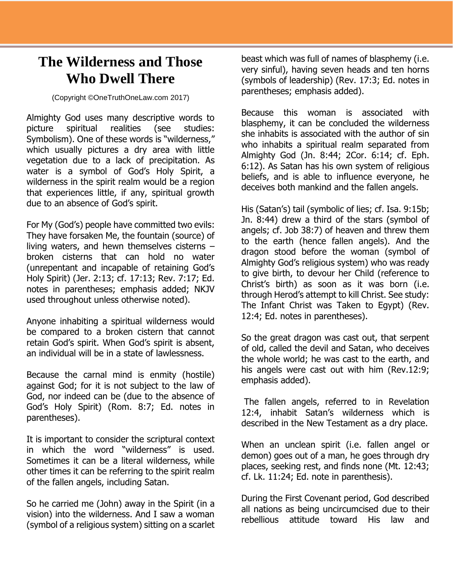## **The Wilderness and Those Who Dwell There**

(Copyright ©OneTruthOneLaw.com 2017)

Almighty God uses many descriptive words to picture spiritual realities (see studies: Symbolism). One of these words is "wilderness," which usually pictures a dry area with little vegetation due to a lack of precipitation. As water is a symbol of God's Holy Spirit, a wilderness in the spirit realm would be a region that experiences little, if any, spiritual growth due to an absence of God's spirit.

For My (God's) people have committed two evils: They have forsaken Me, the fountain (source) of living waters, and hewn themselves cisterns – broken cisterns that can hold no water (unrepentant and incapable of retaining God's Holy Spirit) (Jer. 2:13; cf. 17:13; Rev. 7:17; Ed. notes in parentheses; emphasis added; NKJV used throughout unless otherwise noted).

Anyone inhabiting a spiritual wilderness would be compared to a broken cistern that cannot retain God's spirit. When God's spirit is absent, an individual will be in a state of lawlessness.

Because the carnal mind is enmity (hostile) against God; for it is not subject to the law of God, nor indeed can be (due to the absence of God's Holy Spirit) (Rom. 8:7; Ed. notes in parentheses).

It is important to consider the scriptural context in which the word "wilderness" is used. Sometimes it can be a literal wilderness, while other times it can be referring to the spirit realm of the fallen angels, including Satan.

So he carried me (John) away in the Spirit (in a vision) into the wilderness. And I saw a woman (symbol of a religious system) sitting on a scarlet

beast which was full of names of blasphemy (i.e. very sinful), having seven heads and ten horns (symbols of leadership) (Rev. 17:3; Ed. notes in parentheses; emphasis added).

Because this woman is associated with blasphemy, it can be concluded the wilderness she inhabits is associated with the author of sin who inhabits a spiritual realm separated from Almighty God (Jn. 8:44; 2Cor. 6:14; cf. Eph. 6:12). As Satan has his own system of religious beliefs, and is able to influence everyone, he deceives both mankind and the fallen angels.

His (Satan's) tail (symbolic of lies; cf. Isa. 9:15b; Jn. 8:44) drew a third of the stars (symbol of angels; cf. Job 38:7) of heaven and threw them to the earth (hence fallen angels). And the dragon stood before the woman (symbol of Almighty God's religious system) who was ready to give birth, to devour her Child (reference to Christ's birth) as soon as it was born (i.e. through Herod's attempt to kill Christ. See study: The Infant Christ was Taken to Egypt) (Rev. 12:4; Ed. notes in parentheses).

So the great dragon was cast out, that serpent of old, called the devil and Satan, who deceives the whole world; he was cast to the earth, and his angels were cast out with him (Rev.12:9; emphasis added).

The fallen angels, referred to in Revelation 12:4, inhabit Satan's wilderness which is described in the New Testament as a dry place.

When an unclean spirit (i.e. fallen angel or demon) goes out of a man, he goes through dry places, seeking rest, and finds none (Mt. 12:43; cf. Lk. 11:24; Ed. note in parenthesis).

During the First Covenant period, God described all nations as being uncircumcised due to their rebellious attitude toward His law and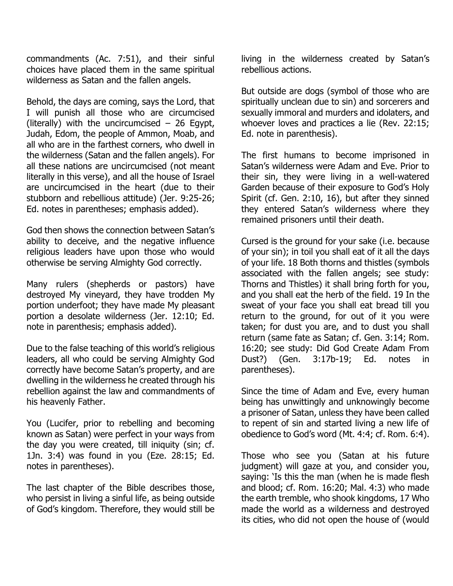commandments (Ac. 7:51), and their sinful choices have placed them in the same spiritual wilderness as Satan and the fallen angels.

Behold, the days are coming, says the Lord, that I will punish all those who are circumcised (literally) with the uncircumcised  $-$  26 Egypt, Judah, Edom, the people of Ammon, Moab, and all who are in the farthest corners, who dwell in the wilderness (Satan and the fallen angels). For all these nations are uncircumcised (not meant literally in this verse), and all the house of Israel are uncircumcised in the heart (due to their stubborn and rebellious attitude) (Jer. 9:25-26; Ed. notes in parentheses; emphasis added).

God then shows the connection between Satan's ability to deceive, and the negative influence religious leaders have upon those who would otherwise be serving Almighty God correctly.

Many rulers (shepherds or pastors) have destroyed My vineyard, they have trodden My portion underfoot; they have made My pleasant portion a desolate wilderness (Jer. 12:10; Ed. note in parenthesis; emphasis added).

Due to the false teaching of this world's religious leaders, all who could be serving Almighty God correctly have become Satan's property, and are dwelling in the wilderness he created through his rebellion against the law and commandments of his heavenly Father.

You (Lucifer, prior to rebelling and becoming known as Satan) were perfect in your ways from the day you were created, till iniquity (sin; cf. 1Jn. 3:4) was found in you (Eze. 28:15; Ed. notes in parentheses).

The last chapter of the Bible describes those, who persist in living a sinful life, as being outside of God's kingdom. Therefore, they would still be

living in the wilderness created by Satan's rebellious actions.

But outside are dogs (symbol of those who are spiritually unclean due to sin) and sorcerers and sexually immoral and murders and idolaters, and whoever loves and practices a lie (Rev. 22:15; Ed. note in parenthesis).

The first humans to become imprisoned in Satan's wilderness were Adam and Eve. Prior to their sin, they were living in a well-watered Garden because of their exposure to God's Holy Spirit (cf. Gen. 2:10, 16), but after they sinned they entered Satan's wilderness where they remained prisoners until their death.

Cursed is the ground for your sake (i.e. because of your sin); in toil you shall eat of it all the days of your life. 18 Both thorns and thistles (symbols associated with the fallen angels; see study: Thorns and Thistles) it shall bring forth for you, and you shall eat the herb of the field. 19 In the sweat of your face you shall eat bread till you return to the ground, for out of it you were taken; for dust you are, and to dust you shall return (same fate as Satan; cf. Gen. 3:14; Rom. 16:20; see study: Did God Create Adam From Dust?) (Gen. 3:17b-19; Ed. notes in parentheses).

Since the time of Adam and Eve, every human being has unwittingly and unknowingly become a prisoner of Satan, unless they have been called to repent of sin and started living a new life of obedience to God's word (Mt. 4:4; cf. Rom. 6:4).

Those who see you (Satan at his future judgment) will gaze at you, and consider you, saying: 'Is this the man (when he is made flesh and blood; cf. Rom. 16:20; Mal. 4:3) who made the earth tremble, who shook kingdoms, 17 Who made the world as a wilderness and destroyed its cities, who did not open the house of (would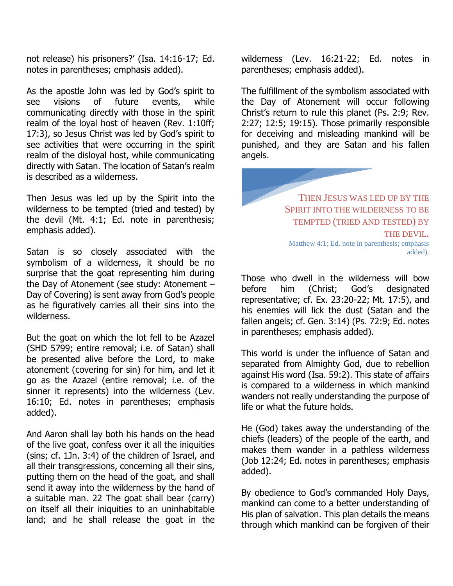not release) his prisoners?' (Isa. 14:16-17; Ed. notes in parentheses; emphasis added).

As the apostle John was led by God's spirit to see visions of future events, while communicating directly with those in the spirit realm of the loyal host of heaven (Rev. 1:10ff; 17:3), so Jesus Christ was led by God's spirit to see activities that were occurring in the spirit realm of the disloyal host, while communicating directly with Satan. The location of Satan's realm is described as a wilderness.

Then Jesus was led up by the Spirit into the wilderness to be tempted (tried and tested) by the devil (Mt. 4:1; Ed. note in parenthesis; emphasis added).

Satan is so closely associated with the symbolism of a wilderness, it should be no surprise that the goat representing him during the Day of Atonement (see study: Atonement – Day of Covering) is sent away from God's people as he figuratively carries all their sins into the wilderness.

But the goat on which the lot fell to be Azazel (SHD 5799; entire removal; i.e. of Satan) shall be presented alive before the Lord, to make atonement (covering for sin) for him, and let it go as the Azazel (entire removal; i.e. of the sinner it represents) into the wilderness (Lev. 16:10; Ed. notes in parentheses; emphasis added).

And Aaron shall lay both his hands on the head of the live goat, confess over it all the iniquities (sins; cf. 1Jn. 3:4) of the children of Israel, and all their transgressions, concerning all their sins, putting them on the head of the goat, and shall send it away into the wilderness by the hand of a suitable man. 22 The goat shall bear (carry) on itself all their iniquities to an uninhabitable land; and he shall release the goat in the wilderness (Lev. 16:21-22; Ed. notes in parentheses; emphasis added).

The fulfillment of the symbolism associated with the Day of Atonement will occur following Christ's return to rule this planet (Ps. 2:9; Rev. 2:27; 12:5; 19:15). Those primarily responsible for deceiving and misleading mankind will be punished, and they are Satan and his fallen angels.

> THEN JESUS WAS LED UP BY THE SPIRIT INTO THE WILDERNESS TO BE TEMPTED (TRIED AND TESTED) BY THE DEVIL. Matthew 4:1; Ed. note in parenthesis; emphasis added).

Those who dwell in the wilderness will bow before him (Christ; God's designated representative; cf. Ex. 23:20-22; Mt. 17:5), and his enemies will lick the dust (Satan and the fallen angels; cf. Gen. 3:14) (Ps. 72:9; Ed. notes in parentheses; emphasis added).

This world is under the influence of Satan and separated from Almighty God, due to rebellion against His word (Isa. 59:2). This state of affairs is compared to a wilderness in which mankind wanders not really understanding the purpose of life or what the future holds.

He (God) takes away the understanding of the chiefs (leaders) of the people of the earth, and makes them wander in a pathless wilderness (Job 12:24; Ed. notes in parentheses; emphasis added).

By obedience to God's commanded Holy Days, mankind can come to a better understanding of His plan of salvation. This plan details the means through which mankind can be forgiven of their